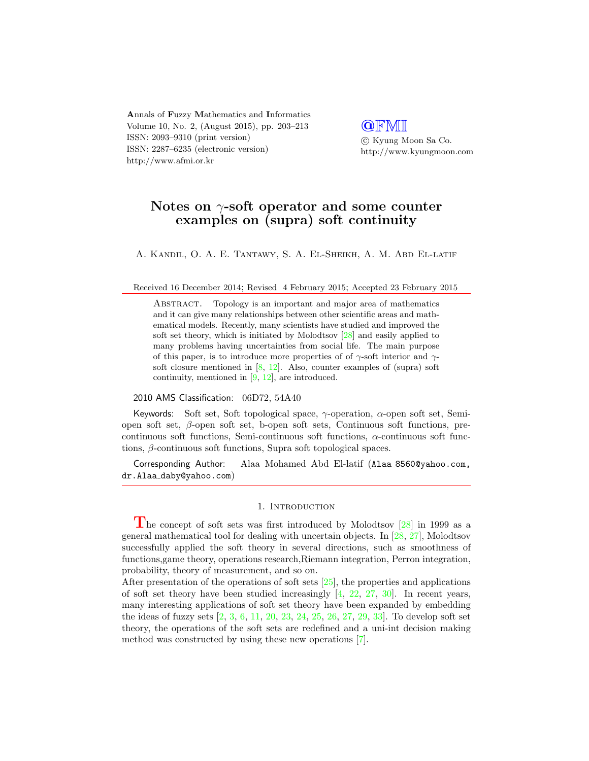**A**nnals of **F**uzzy **M**athematics and **I**nformatics Volume 10, No. 2, (August 2015), pp. 203–213 ISSN: 2093–9310 (print version) ISSN: 2287–6235 (electronic version) http://www.afmi.or.kr

**@**FMI *⃝*c Kyung Moon Sa Co. http://www.kyungmoon.com

# **Notes on** *γ***-soft operator and some counter examples on (supra) soft continuity**

A. Kandil, O. A. E. Tantawy, S. A. El-Sheikh, A. M. Abd El-latif

Received 16 December 2014; Revised 4 February 2015; Accepted 23 February 2015

Abstract. Topology is an important and major area of mathematics and it can give many relationships between other scientific areas and mathematical models. Recently, many scientists have studied and improved the soft set theory, which is initiated by Molodtsov [28] and easily applied to many problems having uncertainties from social life. The main purpose of this paper, is to introduce more properties of of *γ*-soft interior and *γ*soft closure mentioned in  $[8, 12]$ . Also, counter examples of (supra) soft continuity, mentioned in [9, 12], are introduced.

#### 2010 AMS Classification: 06D72, 54A40

Keywords: Soft set, Soft topological space, *γ*-operation, *α*-open soft set, Semiopen soft set, *β*-open soft set, b-open soft sets, Continuous soft functions, precontinuous soft functions, Semi-continuous soft functions, *α*-continuous soft functions, *β*-continuous soft functions, Supra soft topological spaces.

Corresponding Author: Alaa Mohamed Abd El-latif (Alaa 8560@yahoo.com, dr.Alaa daby@yahoo.com)

### 1. INTRODUCTION

**T**he concept of soft sets was first introduced by Molodtsov [28] in 1999 as a general mathematical tool for dealing with uncertain objects. In [28, 27], Molodtsov successfully applied the soft theory in several directions, such as smoothness of functions,game theory, operations research,Riemann integration, Perron integration, probability, theory of measurement, and so on.

After presentation of the operations of soft sets [25], the properties and applications of soft set theory have been studied increasingly  $[4, 22, 27, 30]$ . In recent years, many interesting applications of soft set theory have been expanded by embedding the ideas of fuzzy sets [2, 3, 6, 11, 20, 23, 24, 25, 26, 27, 29, 33]. To develop soft set theory, the operations of the soft sets are redefined and a uni-int decision making method was constructed by using these new operations [7].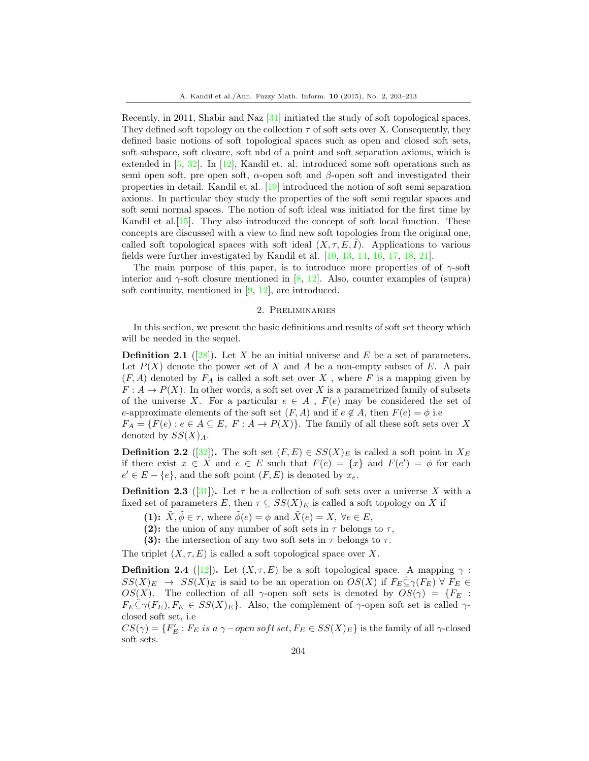Recently, in 2011, Shabir and Naz [31] initiated the study of soft topological spaces. They defined soft topology on the collection  $\tau$  of soft sets over X. Consequently, they defined basic notions of soft topological spaces such as open and closed soft sets, soft subspace, soft closure, soft nbd of a point and soft separation axioms, which is extended in [5, 32]. In [12], Kandil et. al. introduced some soft operations such as semi open soft, pre open soft, *α*-open soft and *β*-open soft and investigated their properties in detail. Kandil et al. [19] introduced the notion of soft semi separation axioms. In particular they study the properties of the soft semi regular spaces and soft semi normal spaces. The notion of soft ideal was initiated for the first time by Kandil et al. [15]. They also introduced the concept of soft local function. These concepts are discussed with a view to find new soft topologies from the original one, called soft topological spaces with soft ideal  $(X, \tau, E, I)$ . Applications to various fields were further investigated by Kandil et al. [10, 13, 14, 16, 17, 18, 21].

The main purpose of this paper, is to introduce more properties of of  $\gamma$ -soft interior and *γ*-soft closure mentioned in [8, 12]. Also, counter examples of (supra) soft continuity, mentioned in [9, 12], are introduced.

### 2. Preliminaries

In this section, we present the basic definitions and results of soft set theory which will be needed in the sequel.

**Definition 2.1** ([28])**.** Let *X* be an initial universe and *E* be a set of parameters. Let  $P(X)$  denote the power set of X and A be a non-empty subset of E. A pair  $(F, A)$  denoted by  $F_A$  is called a soft set over  $X$ , where  $F$  is a mapping given by  $F: A \to P(X)$ . In other words, a soft set over *X* is a parametrized family of subsets of the universe *X*. For a particular  $e \in A$ ,  $F(e)$  may be considered the set of *e*-approximate elements of the soft set  $(F, A)$  and if  $e \notin A$ , then  $F(e) = \phi$  i.e

 $F_A = \{F(e) : e \in A \subseteq E, F : A \to P(X)\}.$  The family of all these soft sets over X denoted by  $SS(X)_A$ .

**Definition 2.2** ([32]). The soft set  $(F, E) \in SS(X)_E$  is called a soft point in  $X_E$ if there exist  $x \in X$  and  $e \in E$  such that  $F(e) = \{x\}$  and  $F(e') = \phi$  for each  $e' \in E - \{e\}$ , and the soft point  $(F, E)$  is denoted by  $x_e$ .

**Definition 2.3** ([31]). Let  $\tau$  be a collection of soft sets over a universe X with a fixed set of parameters *E*, then  $\tau \subseteq SS(X)_E$  is called a soft topology on *X* if

- **(1):**  $\tilde{X}, \tilde{\phi} \in \tau$ , where  $\tilde{\phi}(e) = \phi$  and  $\tilde{X}(e) = X$ ,  $\forall e \in E$ ,
- **(2):** the union of any number of soft sets in  $\tau$  belongs to  $\tau$ ,
- **(3):** the intersection of any two soft sets in  $\tau$  belongs to  $\tau$ .

The triplet  $(X, \tau, E)$  is called a soft topological space over X.

**Definition 2.4** ([12]). Let  $(X, \tau, E)$  be a soft topological space. A mapping  $\gamma$ :  $SS(X)_{E}$  →  $SS(X)_{E}$  is said to be an operation on  $OS(X)$  if  $F_{E} \subseteq \gamma(F_{E}) \ \forall F_{E} \in$ *OS*(*X*). The collection of all *γ*-open soft sets is denoted by  $OS(\gamma) = {F_E : S}$  $F_E \subseteq \gamma(F_E), F_E \in SS(X)_E$ . Also, the complement of  $\gamma$ -open soft set is called  $\gamma$ closed soft set, i.e

 $CS(\gamma) = \{F'_E : F_E \text{ is a } \gamma \text{–open soft set}, F_E \in SS(X)_E\}$  is the family of all  $\gamma$ -closed soft sets.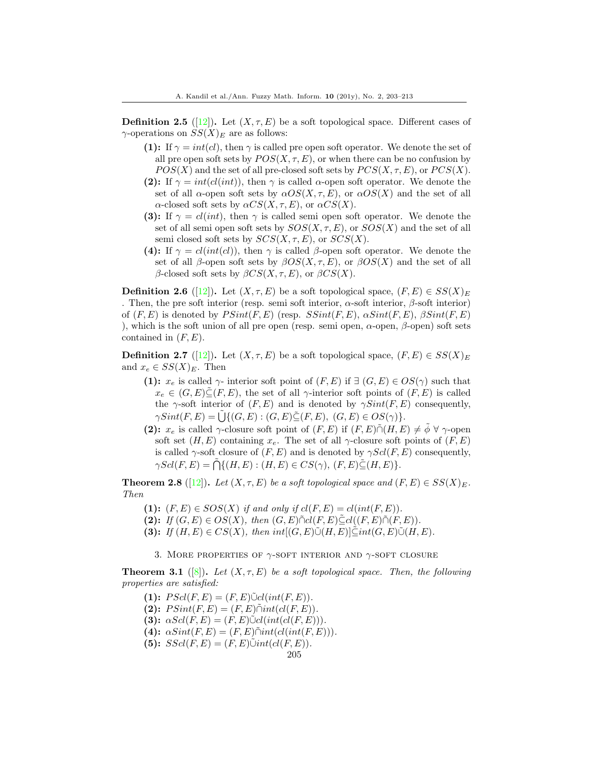**Definition 2.5** ([12]). Let  $(X, \tau, E)$  be a soft topological space. Different cases of *γ*-operations on  $SS(X)_E$  are as follows:

- **(1):** If  $\gamma = int(cl)$ , then  $\gamma$  is called pre open soft operator. We denote the set of all pre open soft sets by  $POS(X, \tau, E)$ , or when there can be no confusion by  $POS(X)$  and the set of all pre-closed soft sets by  $PCS(X, \tau, E)$ , or  $PCS(X)$ .
- **(2):** If  $\gamma = int(cl(int))$ , then  $\gamma$  is called *α*-open soft operator. We denote the set of all  $\alpha$ -open soft sets by  $\alpha OS(X, \tau, E)$ , or  $\alpha OS(X)$  and the set of all *α*-closed soft sets by *αCS*(*X, τ, E*), or *αCS*(*X*).
- **(3):** If  $\gamma = cl(int)$ , then  $\gamma$  is called semi open soft operator. We denote the set of all semi open soft sets by *SOS*(*X, τ, E*), or *SOS*(*X*) and the set of all semi closed soft sets by  $SCS(X, \tau, E)$ , or  $SCS(X)$ .
- **(4):** If  $\gamma = cl(int(cl))$ , then  $\gamma$  is called *β*-open soft operator. We denote the set of all *β*-open soft sets by  $\beta OS(X, \tau, E)$ , or  $\beta OS(X)$  and the set of all *β*-closed soft sets by *βCS*(*X, τ, E*), or *βCS*(*X*).

**Definition 2.6** ([12]). Let  $(X, \tau, E)$  be a soft topological space,  $(F, E) \in SS(X)_E$ . Then, the pre soft interior (resp. semi soft interior, *α*-soft interior, *β*-soft interior) of (*F, E*) is denoted by *P Sint*(*F, E*) (resp. *SSint*(*F, E*), *αSint*(*F, E*), *βSint*(*F, E*) ), which is the soft union of all pre open (resp. semi open, *α*-open, *β*-open) soft sets contained in (*F, E*).

**Definition 2.7** ([12]). Let  $(X, \tau, E)$  be a soft topological space,  $(F, E) \in SS(X)_E$ and  $x_e \in SS(X)_E$ . Then

**(1):**  $x_e$  is called  $\gamma$ - interior soft point of  $(F, E)$  if  $\exists$   $(G, E) \in OS(\gamma)$  such that  $x_e \in (G, E) \tilde{\subset} (F, E)$ , the set of all *γ*-interior soft points of  $(F, E)$  is called the  $\gamma$ -soft interior of  $(F, E)$  and is denoted by  $\gamma Sint(F, E)$  consequently,  $\gamma Sint(F, E) = \tilde{\bigcup} \{ (G, E) : (G, E) \tilde{\subseteq} (F, E), (G, E) \in OS(\gamma) \}.$ 

**(2):**  $x_e$  is called  $\gamma$ -closure soft point of  $(F, E)$  if  $(F, E) \cap (H, E) \neq \tilde{\phi} \ \forall \ \gamma$ -open soft set  $(H, E)$  containing  $x_e$ . The set of all *γ*-closure soft points of  $(F, E)$ is called  $\gamma$ -soft closure of  $(F, E)$  and is denoted by  $\gamma Scl(F, E)$  consequently,  $\gamma\text{Scl}(F, E) = \tilde{\bigcap} \{ (H, E) : (H, E) \in CS(\gamma), (F, E) \tilde{\subseteq} (H, E) \}.$ 

**Theorem 2.8** ([12]). *Let*  $(X, \tau, E)$  *be a soft topological space and*  $(F, E) \in SS(X)_E$ . *Then*

(1):  $(F, E) \in SOS(X)$  if and only if  $cl(F, E) = cl(int(F, E))$ .

- **(2):** *If*  $(G, E) \in OS(X)$ *, then*  $(G, E) \tilde{\cap} cl(F, E) \tilde{\subseteq} cl((F, E) \tilde{\cap} (F, E))$ *.*
- **(3):** *If*  $(H, E) \in CS(X)$ *, then*  $int[(G, E)\tilde{\cup}(H, E)]\tilde{\subseteq} int(G, E)\tilde{\cup}(H, E)$ *.*

3. More properties of *γ*-soft interior and *γ*-soft closure

**Theorem 3.1** ([8]). Let  $(X, \tau, E)$  be a soft topological space. Then, the following *properties are satisfied:*

 $(1): P\text{Scl}(F, E) = (F, E)\tilde{\cup}cl(int(F, E)).$  $(2):$   $P Sint(F, E) = (F, E) \tilde{\cap} int(cl(F, E)).$ **(3):**  $\alpha Scl(F, E) = (F, E)\tilde{\cup}cl(int(cl(F, E))).$  $(4)$ :  $\alpha Sint(F, E) = (F, E) \tilde{\cap} int(cl(int(F, E))).$  $(5):$   $SScl(F, E) = (F, E)\tilde{\cup}int(cl(F, E)).$ 205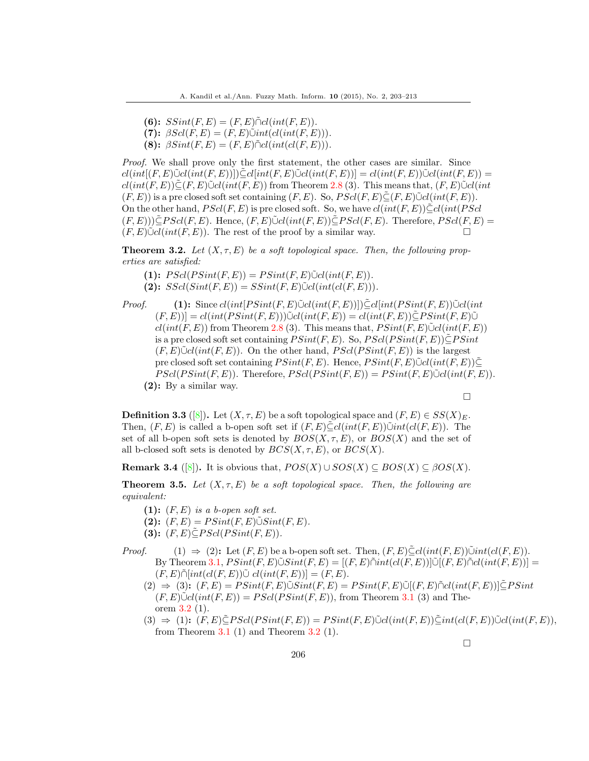- $(6):$  *SSint* $(F, E) = (F, E) \tilde{\cap} cl(int(F, E)).$
- $(7):$   $\beta Sel(F, E) = (F, E) \tilde{\cup} int(cl(int(F, E))).$
- $(8):$   $\beta Sint(F, E) = (F, E) \tilde{\cap} cl(int(cl(F, E))).$

*Proof.* We shall prove only the first statement, the other cases are similar. Since  $cl(int(F, E)\tilde{\cup}cl(int(F, E))]\tilde{\subseteq} cl(int(F, E)\tilde{\cup}cl(int(F, E))] = cl(int(F, E))\tilde{\cup}cl(int(F, E)) =$  $cl(int(F, E)) \subseteq (F, E) \cup cl(int(F, E))$  from Theorem 2.8 (3). This means that,  $(F, E) \cup cl(int$  $(F, E)$  is a pre closed soft set containing  $(F, E)$ . So,  $PScl(F, E) \subset (F, E) \cup cl(int(F, E))$ . On the other hand,  $PScl(F, E)$  is pre closed soft. So, we have  $cl(int(F, E))\tilde{\subset} cl(int(P\tilde{S}cl)$  $(F, E))\subseteq P\text{Sol}(F, E)$ . Hence,  $(F, E)\cup \text{Col}(int(F, E))\subseteq P\text{Sol}(F, E)$ . Therefore,  $PScl(F, E)$  $(F, E)\tilde{\cup}cl(int(F, E))$ . The rest of the proof by a similar way. □

**Theorem 3.2.** Let  $(X, \tau, E)$  be a soft topological space. Then, the following prop*erties are satisfied:*

(1):  $PScl(PSint(F, E)) = PSint(F, E)\tilde{\cup}cl(int(F, E)).$ 

- $(SScl(Sint(F, E)) = SSint(F, E) \tilde{\cup} cl(int(cl(F, E))).$
- *Proof.* **(1):** Since  $cl(int[PSint(F, E)) \subseteq cl(int(F, E))] \subseteq cl(int(PSint(F, E)) \cup Cl(int(F, E))$  $(F, E)$ ] =  $cl(int(PSint(F, E)))\tilde{\cup}cl(int(F, E)) = cl(int(F, E))\tilde{\subseteq} P Sint(F, E)\tilde{\cup}$  $cl(int(F, E))$  from Theorem 2.8 (3). This means that,  $PSint(F, E) \tilde{\cup} cl(int(F, E))$ is a pre closed soft set containing *P Sint*(*F, E*). So, *P Scl*(*P Sint*(*F, E*))*⊆*˜*P Sint*  $(F, E)\tilde{\cup}cl(int(F, E))$ . On the other hand,  $PScl(PSint(F, E))$  is the largest pre closed soft set containing  $P\text{Sint}(F, E)$ . Hence,  $P\text{Sint}(F, E)\tilde{\cup}cl(int(F, E))\tilde{\subseteq}$  $PScl(PSint(F, E))$ . Therefore,  $PScl(PSint(F, E)) = PSint(F, E) \tilde{\cup} cl(int(F, E))$ . **(2):** By a similar way.

□

**Definition 3.3** ([8]). Let  $(X, \tau, E)$  be a soft topological space and  $(F, E) \in SS(X)_{E}$ . Then,  $(F, E)$  is called a b-open soft set if  $(F, E) \subseteq cl(int(F, E)) \cup int(cl(F, E))$ . The set of all b-open soft sets is denoted by  $BOS(X, \tau, E)$ , or  $BOS(X)$  and the set of all b-closed soft sets is denoted by  $BCS(X, \tau, E)$ , or  $BCS(X)$ .

**Remark 3.4** ([8]). It is obvious that,  $POS(X) \cup SOS(X) \subseteq BOS(X) \subseteq \beta OS(X)$ .

**Theorem 3.5.** Let  $(X, \tau, E)$  be a soft topological space. Then, the following are *equivalent:*

- **(1):** (*F, E*) *is a b-open soft set.*
- $(2):$   $(F, E) = P\text{Sint}(F, E) \tilde{\cup} \text{Sint}(F, E)$ .
- $(3):$   $(F, E) \subseteq P \cdot Sel(P \cdot Sim(F, E)).$
- *Proof.* (1)  $\Rightarrow$  (2): Let  $(F, E)$  be a b-open soft set. Then,  $(F, E) \subseteq cl(int(F, E)) \cup int(cl(F, E))$ .  $By$  Theorem 3.1,  $P Sint(F, E) \tilde{\cup} Sint(F, E) = [(F, E) \tilde{\cap} int(cl(F, E))] \tilde{\cup} [(F, E) \tilde{\cap} cl(int(F, E))] =$  $(F, E) \tilde{\cap} [int(cl(F, E)) \tilde{\cup} cl(int(F, E))] = (F, E).$ 
	- $(2) \Rightarrow (3)$ ;  $(F, E) = P\text{Sint}(F, E) \tilde{\cup} \text{Sint}(F, E) = P\text{Sint}(F, E) \tilde{\cup} \text{ } [(F, E) \tilde{\cap} \text{ } \text{ } chtr(F, E)] \tilde{\subseteq} P\text{Sint}$  $(F, E)\tilde{\cup}cl(int(F, E)) = P\cdot Sel(P\cdot Sint(F, E))$ , from Theorem 3.1 (3) and Theorem 3.2 (1).
	- (3)  $\Rightarrow$  (1):  $(F, E) \tilde{\subset} PScl(PSint(F, E)) = PSint(F, E) \tilde{\cup} cl(int(F, E)) \tilde{\subset} int(cl(F, E)) \tilde{\cup} cl(int(F, E)),$ from Theorem  $3.1$  (1) and Theorem  $3.2$  (1).

□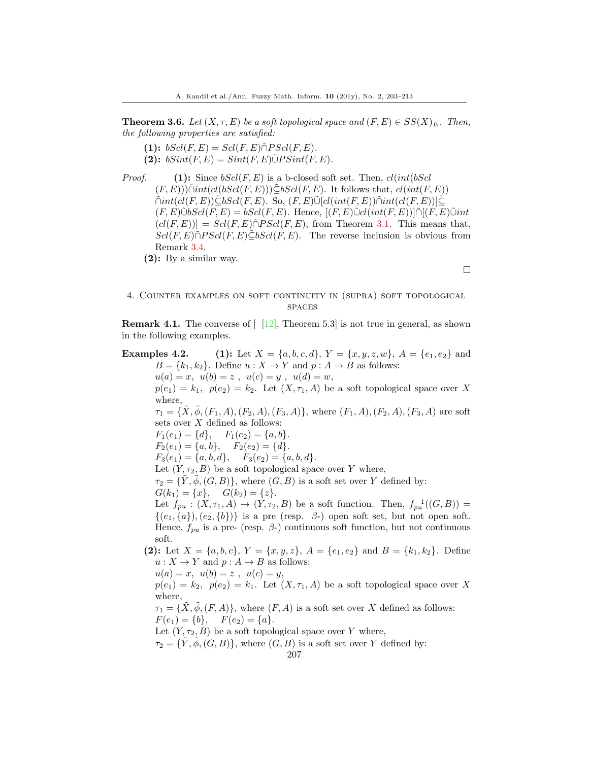**Theorem 3.6.** *Let*  $(X, \tau, E)$  *be a soft topological space and*  $(F, E) \in SS(X)_E$ *. Then, the following properties are satisfied:*

 $(1):$   $bScl(F, E) = Scl(F, E) \tilde{\cap} P Scl(F, E)$ .  $(2):$   $bSint(F, E) = Sint(F, E) \tilde{\cup} P Sint(F, E)$ .

*Proof.* **(1):** Since *bScl*(*F, E*) is a b-closed soft set. Then, *cl*(*int*(*bScl*  $(F, E))$  $\tilde{\cap}$ *int*( $cl(bScl(F, E))$ ) $\tilde{\subseteq}$ *bScl*(*F, E*). It follows that,  $cl(int(F, E))$  $\tilde{\cap} int(cl(F, E)) \tilde{\subseteq} bScl(F, E)$ . So,  $(F, E) \tilde{\cup} [cl(int(F, E)) \tilde{\cap} int(cl(F, E))] \tilde{\subseteq}$  $(F, E)\tilde{\cup}bScl(F, E) = bScl(F, E)$ . Hence,  $[(F, E)\tilde{\cup}cl(int(F, E))]\tilde{\cap}[(F, E)\tilde{\cup}int$  $(cl(F, E))]= Sel(F, E) \tilde{\cap} P Sel(F, E)$ , from Theorem 3.1. This means that,  $Scl(F, E) \cap PSel(F, E) \subset bSel(F, E)$ . The reverse inclusion is obvious from Remark 3.4.

**(2):** By a similar way.

### □

## 4. Counter examples on soft continuity in (supra) soft topological **SPACES**

**Remark 4.1.** The converse of  $\begin{bmatrix} 12 \\ 12 \end{bmatrix}$ , Theorem 5.3 is not true in general, as shown in the following examples.

**Examples 4.2.** (1): Let  $X = \{a, b, c, d\}$ ,  $Y = \{x, y, z, w\}$ ,  $A = \{e_1, e_2\}$  and  $B = \{k_1, k_2\}$ . Define  $u: X \to Y$  and  $p: A \to B$  as follows:  $u(a) = x$ ,  $u(b) = z$ ,  $u(c) = y$ ,  $u(d) = w$ ,  $p(e_1) = k_1$ ,  $p(e_2) = k_2$ . Let  $(X, \tau_1, A)$  be a soft topological space over X where,  $\tau_1 = {\tilde{X}, \tilde{\phi}, (F_1, A), (F_2, A), (F_3, A)},$  where  $(F_1, A), (F_2, A), (F_3, A)$  are soft sets over *X* defined as follows:  $F_1(e_1) = \{d\}, \quad F_1(e_2) = \{a, b\}.$  $F_2(e_1) = \{a, b\}, \quad F_2(e_2) = \{d\}.$  $F_3(e_1) = \{a, b, d\}, \quad F_3(e_2) = \{a, b, d\}.$ Let  $(Y, \tau_2, B)$  be a soft topological space over *Y* where,  $\tau_2 = \{Y, \phi, (G, B)\}\text{, where } (G, B) \text{ is a soft set over } Y \text{ defined by:}$  $G(k_1) = \{x\}, \quad G(k_2) = \{z\}.$ Let  $f_{pu}$  :  $(X, \tau_1, A) \rightarrow (Y, \tau_2, B)$  be a soft function. Then,  $f_{pu}^{-1}((G, B))$  =  $\{(e_1,\{a\}), (e_2,\{b\})\}$  is a pre (resp.  $\beta$ -) open soft set, but not open soft. Hence,  $f_{pu}$  is a pre- (resp.  $\beta$ -) continuous soft function, but not continuous soft. (2): Let  $X = \{a, b, c\}$ ,  $Y = \{x, y, z\}$ ,  $A = \{e_1, e_2\}$  and  $B = \{k_1, k_2\}$ . Define  $u: X \to Y$  and  $p: A \to B$  as follows:  $u(a) = x$ ,  $u(b) = z$ ,  $u(c) = y$ ,  $p(e_1) = k_2$ ,  $p(e_2) = k_1$ . Let  $(X, \tau_1, A)$  be a soft topological space over X where,  $\tau_1 = {\{\tilde{X}, \tilde{\phi}, (F, A)\}}$ , where  $(F, A)$  is a soft set over *X* defined as follows:  $F(e_1) = \{b\}, \quad F(e_2) = \{a\}.$ 

Let  $(Y, \tau_2, B)$  be a soft topological space over *Y* where,

 $\tau_2 = {\tilde{Y}, \tilde{\phi}, (G, B)}$ , where  $(G, B)$  is a soft set over *Y* defined by: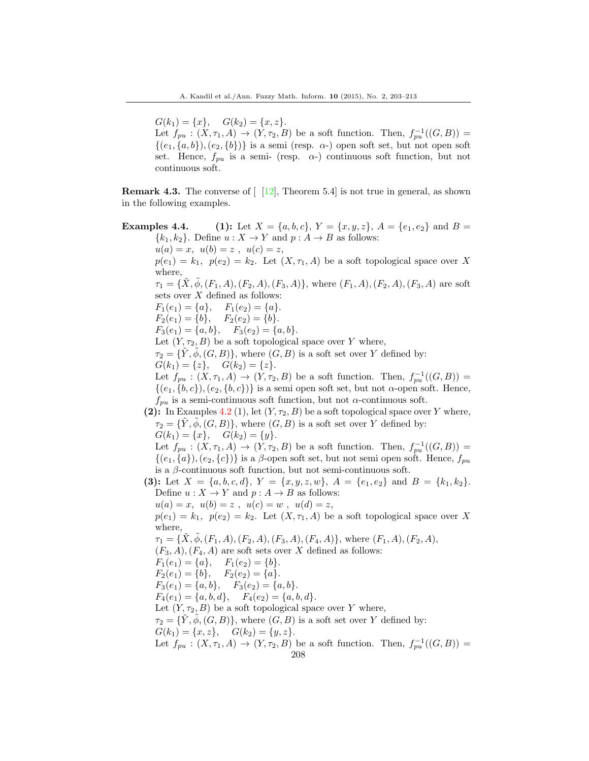$G(k_1) = \{x\}, \quad G(k_2) = \{x, z\}.$ 

Let  $f_{pu}$  :  $(X, \tau_1, A) \rightarrow (Y, \tau_2, B)$  be a soft function. Then,  $f_{pu}^{-1}((G, B))$  =  $\{(e_1,\{a,b\}), (e_2,\{b\})\}\$ is a semi (resp. *α*-) open soft set, but not open soft set. Hence,  $f_{pu}$  is a semi- (resp.  $\alpha$ -) continuous soft function, but not continuous soft.

**Remark 4.3.** The converse of  $\begin{bmatrix} 12 \\ 1 \end{bmatrix}$ , Theorem 5.4 is not true in general, as shown in the following examples.

**Examples 4.4.** (1): Let  $X = \{a, b, c\}$ ,  $Y = \{x, y, z\}$ ,  $A = \{e_1, e_2\}$  and  $B =$  ${k_1, k_2}$ . Define  $u: X \to Y$  and  $p: A \to B$  as follows:  $u(a) = x$ ,  $u(b) = z$ ,  $u(c) = z$ ,  $p(e_1) = k_1$ ,  $p(e_2) = k_2$ . Let  $(X, \tau_1, A)$  be a soft topological space over X where,  $\tau_1 = {\hat{X}, \phi, (F_1, A), (F_2, A), (F_3, A)},$  where  $(F_1, A), (F_2, A), (F_3, A)$  are soft sets over *X* defined as follows:  $F_1(e_1) = \{a\}, \quad F_1(e_2) = \{a\}.$  $F_2(e_1) = \{b\}, \quad F_2(e_2) = \{b\}.$  $F_3(e_1) = \{a, b\}, \quad F_3(e_2) = \{a, b\}.$ Let  $(Y, \tau_2, B)$  be a soft topological space over *Y* where,  $\tau_2 = {\tilde{Y}, \tilde{\phi}, (G, B)}$ , where  $(G, B)$  is a soft set over *Y* defined by:  $G(k_1) = \{z\}, \quad G(k_2) = \{z\}.$ Let  $f_{pu}$  :  $(X, \tau_1, A) \rightarrow (Y, \tau_2, B)$  be a soft function. Then,  $f_{pu}^{-1}((G, B))$  =  $\{(e_1,\{b,c\}), (e_2,\{b,c\})\}$  is a semi open soft set, but not *α*-open soft. Hence,  $f_{pu}$  is a semi-continuous soft function, but not  $\alpha$ -continuous soft. (2): In Examples 4.2 (1), let  $(Y, \tau_2, B)$  be a soft topological space over *Y* where,  $\tau_2 = \{Y, \phi, (G, B)\}\text{, where } (G, B) \text{ is a soft set over } Y \text{ defined by:}$  $G(k_1) = \{x\}, \quad G(k_2) = \{y\}.$ Let  $f_{pu}$  :  $(X, \tau_1, A) \rightarrow (Y, \tau_2, B)$  be a soft function. Then,  $f_{pu}^{-1}((G, B))$  =  $\{(e_1,\{a\}), (e_2,\{c\})\}$  is a *β*-open soft set, but not semi open soft. Hence,  $f_{pu}$ is a *β*-continuous soft function, but not semi-continuous soft. (3): Let  $X = \{a, b, c, d\}$ ,  $Y = \{x, y, z, w\}$ ,  $A = \{e_1, e_2\}$  and  $B = \{k_1, k_2\}$ . Define  $u: X \to Y$  and  $p: A \to B$  as follows:  $u(a) = x$ ,  $u(b) = z$ ,  $u(c) = w$ ,  $u(d) = z$ ,  $p(e_1) = k_1$ ,  $p(e_2) = k_2$ . Let  $(X, \tau_1, A)$  be a soft topological space over X where,  $\tau_1 = \{X, \phi, (F_1, A), (F_2, A), (F_3, A), (F_4, A)\}\$ , where  $(F_1, A), (F_2, A),$  $(F_3, A), (F_4, A)$  are soft sets over *X* defined as follows:  $F_1(e_1) = \{a\}, \quad F_1(e_2) = \{b\}.$  $F_2(e_1) = \{b\}, \quad F_2(e_2) = \{a\}.$  $F_3(e_1) = \{a, b\}, \quad F_3(e_2) = \{a, b\}.$  $F_4(e_1) = \{a, b, d\}, \quad F_4(e_2) = \{a, b, d\}.$ Let  $(Y, \tau_2, B)$  be a soft topological space over *Y* where,  $\tau_2 = \{Y, \phi, (G, B)\}\text{, where } (G, B) \text{ is a soft set over } Y \text{ defined by:}$  $G(k_1) = \{x, z\}, \quad G(k_2) = \{y, z\}.$ Let  $f_{pu}$  :  $(X, \tau_1, A) \rightarrow (Y, \tau_2, B)$  be a soft function. Then,  $f_{pu}^{-1}((G, B))$  = 208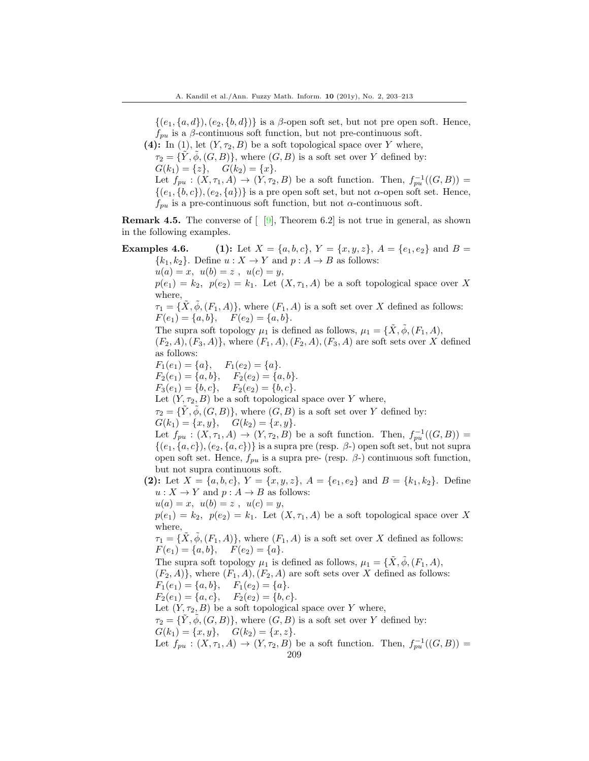$\{(e_1,\{a,d\}), (e_2,\{b,d\})\}$  is a *β*-open soft set, but not pre open soft. Hence,  $f_{pu}$  is a *β*-continuous soft function, but not pre-continuous soft.

**(4):** In (1), let  $(Y, \tau_2, B)$  be a soft topological space over *Y* where,

 $\tau_2 = \{Y, \phi, (G, B)\}\text{, where } (G, B) \text{ is a soft set over } Y \text{ defined by:}$  $G(k_1) = \{z\}, \quad G(k_2) = \{x\}.$ 

Let  $f_{pu}$  :  $(X, \tau_1, A) \rightarrow (Y, \tau_2, B)$  be a soft function. Then,  $f_{pu}^{-1}((G, B))$  =  $\{(e_1,\{b,c\}), (e_2,\{a\})\}$  is a pre open soft set, but not *α*-open soft set. Hence,  $f_{pu}$  is a pre-continuous soft function, but not *α*-continuous soft.

**Remark 4.5.** The converse of  $\lceil 9 \rceil$ , Theorem 6.2 is not true in general, as shown in the following examples.

# **Examples 4.6.** (1): Let  $X = \{a, b, c\}$ ,  $Y = \{x, y, z\}$ ,  $A = \{e_1, e_2\}$  and  $B =$  ${k_1, k_2}$ . Define  $u: X \to Y$  and  $p: A \to B$  as follows:  $u(a) = x$ ,  $u(b) = z$ ,  $u(c) = y$ ,  $p(e_1) = k_2$ ,  $p(e_2) = k_1$ . Let  $(X, \tau_1, A)$  be a soft topological space over X where,  $\tau_1 = {\tilde{X}, \phi, (F_1, A)}$ , where  $(F_1, A)$  is a soft set over *X* defined as follows:  $F(e_1) = \{a, b\}, \quad F(e_2) = \{a, b\}.$ The supra soft topology  $\mu_1$  is defined as follows,  $\mu_1 = {\tilde{X}, \tilde{\phi}, (F_1, A)}$ ,  $(F_2, A), (F_3, A)$ }, where  $(F_1, A), (F_2, A), (F_3, A)$  are soft sets over *X* defined as follows:  $F_1(e_1) = \{a\}, \quad F_1(e_2) = \{a\}.$  $F_2(e_1) = \{a, b\}, \quad F_2(e_2) = \{a, b\}.$  $F_3(e_1) = \{b, c\}, \quad F_2(e_2) = \{b, c\}.$ Let  $(Y, \tau_2, B)$  be a soft topological space over *Y* where,  $\tau_2 = {\tilde{Y}, \tilde{\phi}, (G, B)}$ , where  $(G, B)$  is a soft set over *Y* defined by:  $G(k_1) = \{x, y\}, \quad G(k_2) = \{x, y\}.$ Let  $f_{pu}$  :  $(X, \tau_1, A) \rightarrow (Y, \tau_2, B)$  be a soft function. Then,  $f_{pu}^{-1}((G, B))$  =  $\{(e_1,\{a,c\}\), (e_2,\{a,c\})\}$  is a supra pre (resp.  $\beta$ -) open soft set, but not supra open soft set. Hence,  $f_{pu}$  is a supra pre- (resp.  $\beta$ -) continuous soft function, but not supra continuous soft. (2): Let  $X = \{a, b, c\}$ ,  $Y = \{x, y, z\}$ ,  $A = \{e_1, e_2\}$  and  $B = \{k_1, k_2\}$ . Define  $u: X \to Y$  and  $p: A \to B$  as follows:  $u(a) = x$ ,  $u(b) = z$ ,  $u(c) = y$ ,  $p(e_1) = k_2$ ,  $p(e_2) = k_1$ . Let  $(X, \tau_1, A)$  be a soft topological space over X where,  $\tau_1 = {\{\overline{X}, \overline{\phi}, (F_1, A)\}}$ , where  $(F_1, A)$  is a soft set over *X* defined as follows:  $F(e_1) = \{a, b\}, \quad F(e_2) = \{a\}.$ The supra soft topology  $\mu_1$  is defined as follows,  $\mu_1 = {\tilde{X}, \tilde{\phi}, (F_1, A)}$ ,  $(F_2, A)$ }, where  $(F_1, A)$ ,  $(F_2, A)$  are soft sets over *X* defined as follows:  $F_1(e_1) = \{a, b\}, \quad F_1(e_2) = \{a\}.$  $F_2(e_1) = \{a, c\}, \quad F_2(e_2) = \{b, c\}.$ Let  $(Y, \tau_2, B)$  be a soft topological space over *Y* where,  $\tau_2 = {\tilde{Y}, \tilde{\phi}, (G, B)}$ , where  $(G, B)$  is a soft set over *Y* defined by:  $G(k_1) = \{x, y\}, \quad G(k_2) = \{x, z\}.$ Let  $f_{pu}$  :  $(X, \tau_1, A) \rightarrow (Y, \tau_2, B)$  be a soft function. Then,  $f_{pu}^{-1}((G, B))$  =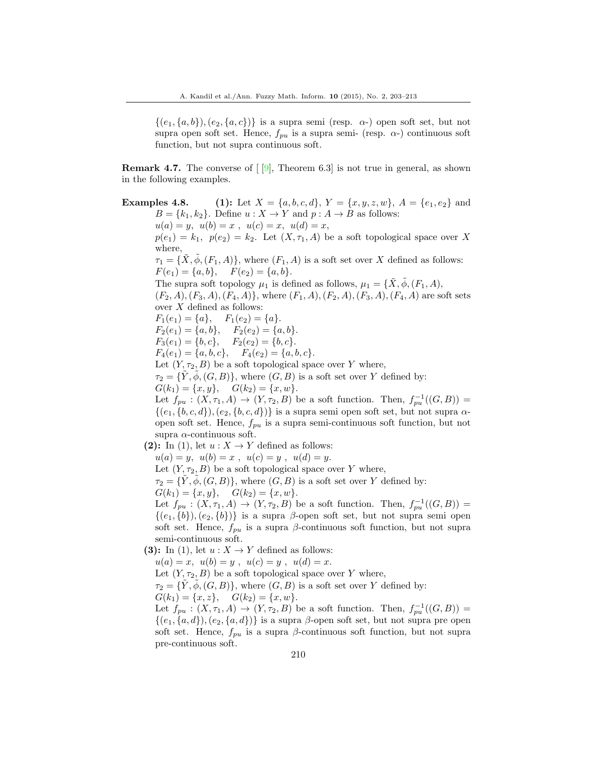$\{(e_1,\{a,b\}\), (e_2,\{a,c\})\}$  is a supra semi (resp.  $\alpha$ -) open soft set, but not supra open soft set. Hence,  $f_{n\mu}$  is a supra semi- (resp.  $\alpha$ -) continuous soft function, but not supra continuous soft.

**Remark 4.7.** The converse of  $\lceil 9 \rceil$ , Theorem 6.3 is not true in general, as shown in the following examples.

**Examples 4.8.** (1): Let  $X = \{a, b, c, d\}$ ,  $Y = \{x, y, z, w\}$ ,  $A = \{e_1, e_2\}$  and  $B = \{k_1, k_2\}$ . Define  $u: X \to Y$  and  $p: A \to B$  as follows:  $u(a) = y, u(b) = x, u(c) = x, u(d) = x$ ,  $p(e_1) = k_1, p(e_2) = k_2$ . Let  $(X, \tau_1, A)$  be a soft topological space over X where,  $\tau_1 = {\tilde{X}, \tilde{\phi}, (F_1, A)}$ , where  $(F_1, A)$  is a soft set over *X* defined as follows:  $F(e_1) = \{a, b\}, \quad F(e_2) = \{a, b\}.$ The supra soft topology  $\mu_1$  is defined as follows,  $\mu_1 = \{X, \phi, (F_1, A),\}$  $(F_2, A), (F_3, A), (F_4, A)$ <sup>2</sup>, where  $(F_1, A), (F_2, A), (F_3, A), (F_4, A)$  are soft sets over *X* defined as follows:  $F_1(e_1) = \{a\}, \quad F_1(e_2) = \{a\}.$  $F_2(e_1) = \{a, b\}, \quad F_2(e_2) = \{a, b\}.$  $F_3(e_1) = \{b, c\}, \quad F_2(e_2) = \{b, c\}.$  $F_4(e_1) = \{a, b, c\}, \quad F_4(e_2) = \{a, b, c\}.$ Let  $(Y, \tau_2, B)$  be a soft topological space over *Y* where,  $\tau_2 = \{Y, \phi, (G, B)\}\text{, where } (G, B) \text{ is a soft set over } Y \text{ defined by:}$  $G(k_1) = \{x, y\}, \quad G(k_2) = \{x, w\}.$ Let  $f_{pu}$  :  $(X, \tau_1, A) \rightarrow (Y, \tau_2, B)$  be a soft function. Then,  $f_{pu}^{-1}((G, B))$  = *{*(*e*1*, {b, c, d}*)*,*(*e*2*, {b, c, d}*)*}* is a supra semi open soft set, but not supra *α*open soft set. Hence, *fpu* is a supra semi-continuous soft function, but not supra *α*-continuous soft. **(2):** In (1), let  $u: X \to Y$  defined as follows:  $u(a) = y, u(b) = x, u(c) = y, u(d) = y.$ Let  $(Y, \tau_2, B)$  be a soft topological space over *Y* where,  $\tau_2 = \{Y, \phi, (G, B)\}\text{, where } (G, B) \text{ is a soft set over } Y \text{ defined by:}$  $G(k_1) = \{x, y\}, \quad G(k_2) = \{x, w\}.$ Let  $f_{pu}$  :  $(X, \tau_1, A) \rightarrow (Y, \tau_2, B)$  be a soft function. Then,  $f_{pu}^{-1}((G, B))$  =  $\{(e_1,\{b\}), (e_2,\{b\})\}$  is a supra *β*-open soft set, but not supra semi open soft set. Hence,  $f_{pu}$  is a supra *β*-continuous soft function, but not supra semi-continuous soft. **(3):** In (1), let  $u: X \to Y$  defined as follows:  $u(a) = x$ ,  $u(b) = y$ ,  $u(c) = y$ ,  $u(d) = x$ . Let  $(Y, \tau_2, B)$  be a soft topological space over *Y* where,  $\tau_2 = \{Y, \phi, (G, B)\}\$ , where  $(G, B)$  is a soft set over *Y* defined by:  $G(k_1) = \{x, z\}, \quad G(k_2) = \{x, w\}.$ Let  $f_{pu}$  :  $(X, \tau_1, A) \rightarrow (Y, \tau_2, B)$  be a soft function. Then,  $f_{pu}^{-1}((G, B))$  =

 $\{(e_1, \{a, d\})$ ,  $(e_2, \{a, d\})\}$  is a supra  $\beta$ -open soft set, but not supra pre open soft set. Hence,  $f_{pu}$  is a supra  $\beta$ -continuous soft function, but not supra pre-continuous soft.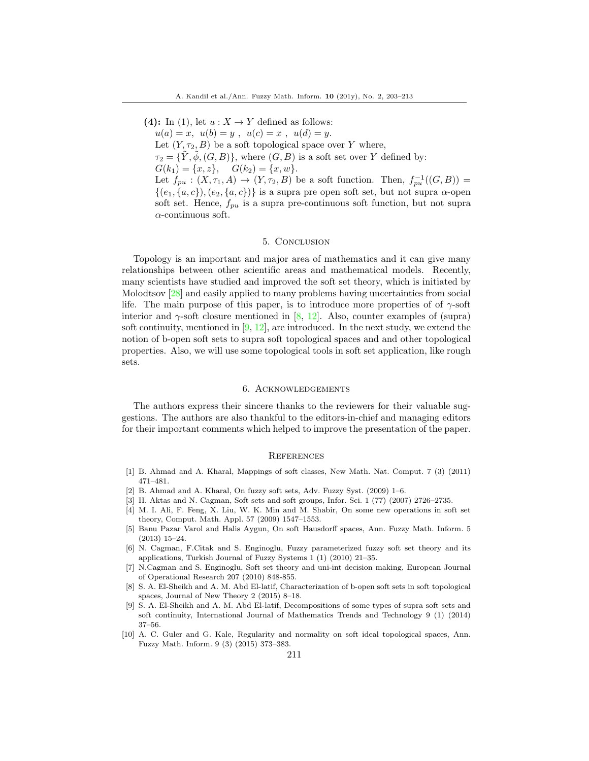**(4):** In (1), let  $u: X \to Y$  defined as follows:  $u(a) = x$ ,  $u(b) = y$ ,  $u(c) = x$ ,  $u(d) = y$ . Let  $(Y, \tau_2, B)$  be a soft topological space over *Y* where,  $\tau_2 = {\tilde{Y}, \tilde{\phi}, (G, B)}$ , where  $(G, B)$  is a soft set over *Y* defined by:  $G(k_1) = \{x, z\}, \quad G(k_2) = \{x, w\}.$ Let  $f_{pu}$  :  $(X, \tau_1, A) \rightarrow (Y, \tau_2, B)$  be a soft function. Then,  $f_{pu}^{-1}((G, B))$  =  $\{(e_1, \{a, c\}), (e_2, \{a, c\})\}$  is a supra pre open soft set, but not supra *α*-open soft set. Hence, *fpu* is a supra pre-continuous soft function, but not supra *α*-continuous soft.

### 5. Conclusion

Topology is an important and major area of mathematics and it can give many relationships between other scientific areas and mathematical models. Recently, many scientists have studied and improved the soft set theory, which is initiated by Molodtsov [28] and easily applied to many problems having uncertainties from social life. The main purpose of this paper, is to introduce more properties of of  $\gamma$ -soft interior and *γ*-soft closure mentioned in [8, 12]. Also, counter examples of (supra) soft continuity, mentioned in  $[9, 12]$ , are introduced. In the next study, we extend the notion of b-open soft sets to supra soft topological spaces and and other topological properties. Also, we will use some topological tools in soft set application, like rough sets.

### 6. Acknowledgements

The authors express their sincere thanks to the reviewers for their valuable suggestions. The authors are also thankful to the editors-in-chief and managing editors for their important comments which helped to improve the presentation of the paper.

#### **REFERENCES**

- [1] B. Ahmad and A. Kharal, Mappings of soft classes, New Math. Nat. Comput. 7 (3) (2011) 471–481.
- [2] B. Ahmad and A. Kharal, On fuzzy soft sets, Adv. Fuzzy Syst. (2009) 1–6.
- [3] H. Aktas and N. Cagman, Soft sets and soft groups, Infor. Sci. 1 (77) (2007) 2726–2735.
- [4] M. I. Ali, F. Feng, X. Liu, W. K. Min and M. Shabir, On some new operations in soft set theory, Comput. Math. Appl. 57 (2009) 1547–1553.
- [5] Banu Pazar Varol and Halis Aygun, On soft Hausdorff spaces, Ann. Fuzzy Math. Inform. 5 (2013) 15–24.
- [6] N. Cagman, F.Citak and S. Enginoglu, Fuzzy parameterized fuzzy soft set theory and its applications, Turkish Journal of Fuzzy Systems 1 (1) (2010) 21–35.
- [7] N.Cagman and S. Enginoglu, Soft set theory and uni-int decision making, European Journal of Operational Research 207 (2010) 848-855.
- [8] S. A. El-Sheikh and A. M. Abd El-latif, Characterization of b-open soft sets in soft topological spaces, Journal of New Theory 2 (2015) 8–18.
- [9] S. A. El-Sheikh and A. M. Abd El-latif, Decompositions of some types of supra soft sets and soft continuity, International Journal of Mathematics Trends and Technology 9 (1) (2014) 37–56.
- [10] A. C. Guler and G. Kale, Regularity and normality on soft ideal topological spaces, Ann. Fuzzy Math. Inform. 9 (3) (2015) 373–383.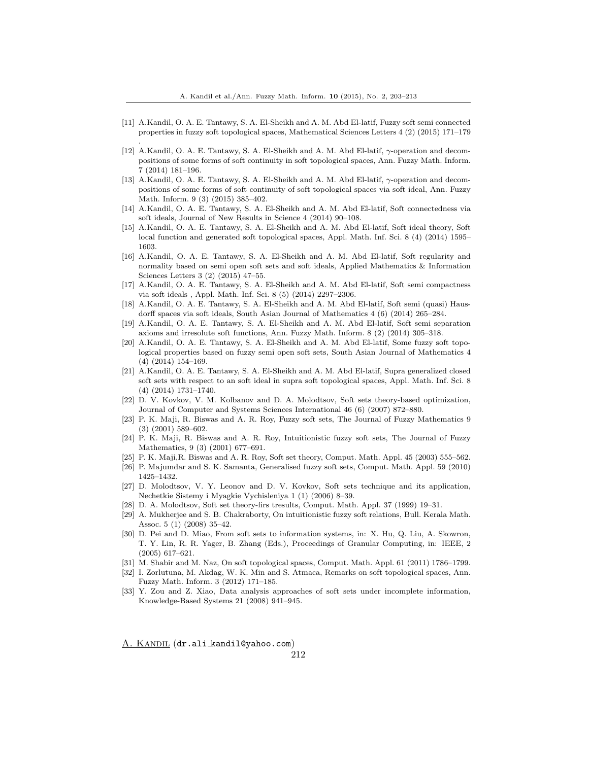[11] A.Kandil, O. A. E. Tantawy, S. A. El-Sheikh and A. M. Abd El-latif, Fuzzy soft semi connected properties in fuzzy soft topological spaces, Mathematical Sciences Letters 4 (2) (2015) 171–179

.

- [12] A.Kandil, O. A. E. Tantawy, S. A. El-Sheikh and A. M. Abd El-latif, *γ*-operation and decompositions of some forms of soft continuity in soft topological spaces, Ann. Fuzzy Math. Inform. 7 (2014) 181–196.
- [13] A.Kandil, O. A. E. Tantawy, S. A. El-Sheikh and A. M. Abd El-latif, *γ*-operation and decompositions of some forms of soft continuity of soft topological spaces via soft ideal, Ann. Fuzzy Math. Inform. 9 (3) (2015) 385–402.
- [14] A.Kandil, O. A. E. Tantawy, S. A. El-Sheikh and A. M. Abd El-latif, Soft connectedness via soft ideals, Journal of New Results in Science 4 (2014) 90–108.
- [15] A.Kandil, O. A. E. Tantawy, S. A. El-Sheikh and A. M. Abd El-latif, Soft ideal theory, Soft local function and generated soft topological spaces, Appl. Math. Inf. Sci. 8 (4) (2014) 1595– 1603.
- [16] A.Kandil, O. A. E. Tantawy, S. A. El-Sheikh and A. M. Abd El-latif, Soft regularity and normality based on semi open soft sets and soft ideals, Applied Mathematics & Information Sciences Letters 3 (2) (2015) 47–55.
- [17] A.Kandil, O. A. E. Tantawy, S. A. El-Sheikh and A. M. Abd El-latif, Soft semi compactness via soft ideals , Appl. Math. Inf. Sci. 8 (5) (2014) 2297–2306.
- [18] A.Kandil, O. A. E. Tantawy, S. A. El-Sheikh and A. M. Abd El-latif, Soft semi (quasi) Hausdorff spaces via soft ideals, South Asian Journal of Mathematics 4 (6) (2014) 265–284.
- [19] A.Kandil, O. A. E. Tantawy, S. A. El-Sheikh and A. M. Abd El-latif, Soft semi separation axioms and irresolute soft functions, Ann. Fuzzy Math. Inform. 8 (2) (2014) 305–318.
- [20] A.Kandil, O. A. E. Tantawy, S. A. El-Sheikh and A. M. Abd El-latif, Some fuzzy soft topological properties based on fuzzy semi open soft sets, South Asian Journal of Mathematics 4 (4) (2014) 154–169.
- [21] A.Kandil, O. A. E. Tantawy, S. A. El-Sheikh and A. M. Abd El-latif, Supra generalized closed soft sets with respect to an soft ideal in supra soft topological spaces, Appl. Math. Inf. Sci. 8 (4) (2014) 1731–1740.
- [22] D. V. Kovkov, V. M. Kolbanov and D. A. Molodtsov, Soft sets theory-based optimization, Journal of Computer and Systems Sciences International 46 (6) (2007) 872–880.
- [23] P. K. Maji, R. Biswas and A. R. Roy, Fuzzy soft sets, The Journal of Fuzzy Mathematics 9 (3) (2001) 589–602.
- [24] P. K. Maji, R. Biswas and A. R. Roy, Intuitionistic fuzzy soft sets, The Journal of Fuzzy Mathematics, 9 (3) (2001) 677–691.
- [25] P. K. Maji,R. Biswas and A. R. Roy, Soft set theory, Comput. Math. Appl. 45 (2003) 555–562.
- [26] P. Majumdar and S. K. Samanta, Generalised fuzzy soft sets, Comput. Math. Appl. 59 (2010) 1425–1432.
- [27] D. Molodtsov, V. Y. Leonov and D. V. Kovkov, Soft sets technique and its application, Nechetkie Sistemy i Myagkie Vychisleniya 1 (1) (2006) 8–39.
- [28] D. A. Molodtsov, Soft set theory-firs tresults, Comput. Math. Appl. 37 (1999) 19–31.
- [29] A. Mukherjee and S. B. Chakraborty, On intuitionistic fuzzy soft relations, Bull. Kerala Math. Assoc. 5 (1) (2008) 35–42.
- [30] D. Pei and D. Miao, From soft sets to information systems, in: X. Hu, Q. Liu, A. Skowron, T. Y. Lin, R. R. Yager, B. Zhang (Eds.), Proceedings of Granular Computing, in: IEEE, 2 (2005) 617–621.
- [31] M. Shabir and M. Naz, On soft topological spaces, Comput. Math. Appl. 61 (2011) 1786–1799.
- [32] I. Zorlutuna, M. Akdag, W. K. Min and S. Atmaca, Remarks on soft topological spaces, Ann. Fuzzy Math. Inform. 3 (2012) 171–185.
- [33] Y. Zou and Z. Xiao, Data analysis approaches of soft sets under incomplete information, Knowledge-Based Systems 21 (2008) 941–945.

A. KANDIL (dr.ali\_kandil@yahoo.com)

212